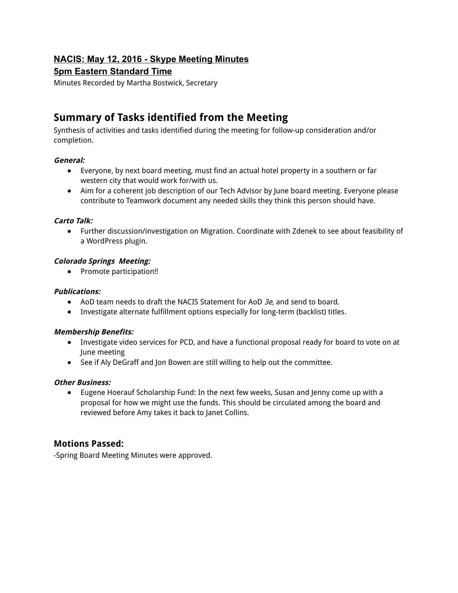# **NACIS: May 12, 2016 Skype Meeting Minutes**

# **5pm Eastern Standard Time**

Minutes Recorded by Martha Bostwick, Secretary

# **Summary of Tasks identified from the Meeting**

Synthesis of activities and tasks identified during the meeting for follow-up consideration and/or completion.

### **General:**

- Everyone, by next board meeting, must find an actual hotel property in a southern or far western city that would work for/with us.
- Aim for a coherent job description of our Tech Advisor by June board meeting. Everyone please contribute to Teamwork document any needed skills they think this person should have.

### **Carto Talk:**

● Further discussion/investigation on Migration. Coordinate with Zdenek to see about feasibility of a WordPress plugin.

### **Colorado Springs Meeting:**

● Promote participation!!

#### **Publications:**

- AoD team needs to draft the NACIS Statement for AoD 3e, and send to board.
- Investigate alternate fulfillment options especially for long-term (backlist) titles.

#### **Membership Benefits:**

- Investigate video services for PCD, and have a functional proposal ready for board to vote on at June meeting
- See if Aly DeGraff and Jon Bowen are still willing to help out the committee.

#### **Other Business:**

● Eugene Hoerauf Scholarship Fund: In the next few weeks, Susan and Jenny come up with a proposal for how we might use the funds. This should be circulated among the board and reviewed before Amy takes it back to Janet Collins.

# **Motions Passed:**

-Spring Board Meeting Minutes were approved.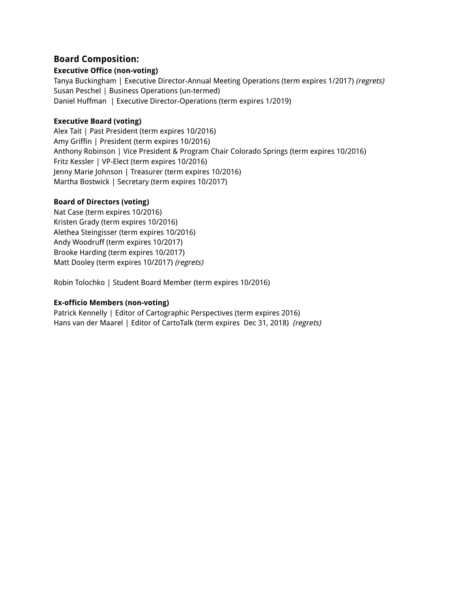# **Board Composition:**

#### **Executive Office (non-voting)**

Tanya Buckingham | Executive Director-Annual Meeting Operations (term expires 1/2017) (regrets) Susan Peschel | Business Operations (un-termed) Daniel Huffman | Executive Director-Operations (term expires 1/2019)

#### **Executive Board (voting)**

Alex Tait | Past President (term expires 10/2016) Amy Griffin | President (term expires 10/2016) Anthony Robinson | Vice President & Program Chair Colorado Springs (term expires 10/2016) Fritz Kessler | VP-Elect (term expires 10/2016) Jenny Marie Johnson | Treasurer (term expires 10/2016) Martha Bostwick | Secretary (term expires 10/2017)

### **Board of Directors (voting)**

Nat Case (term expires 10/2016) Kristen Grady (term expires 10/2016) Alethea Steingisser (term expires 10/2016) Andy Woodruff (term expires 10/2017) Brooke Harding (term expires 10/2017) Matt Dooley (term expires 10/2017) (regrets)

Robin Tolochko | Student Board Member (term expires 10/2016)

### **Ex-officio Members (non-voting)**

Patrick Kennelly | Editor of Cartographic Perspectives (term expires 2016) Hans van der Maarel | Editor of CartoTalk (term expires Dec 31, 2018) (regrets)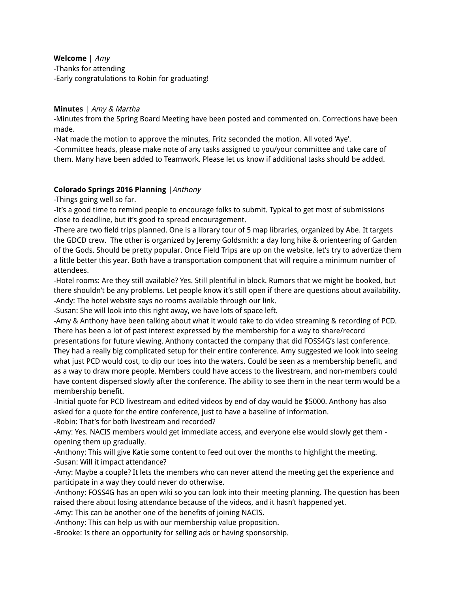**Welcome** | Amy -Thanks for attending -Early congratulations to Robin for graduating!

#### **Minutes** | Amy & Martha

-Minutes from the Spring Board Meeting have been posted and commented on. Corrections have been made.

-Nat made the motion to approve the minutes, Fritz seconded the motion. All voted 'Aye'.

-Committee heads, please make note of any tasks assigned to you/your committee and take care of them. Many have been added to Teamwork. Please let us know if additional tasks should be added.

### **Colorado Springs 2016 Planning** |Anthony

-Things going well so far.

-It's a good time to remind people to encourage folks to submit. Typical to get most of submissions close to deadline, but it's good to spread encouragement.

-There are two field trips planned. One is a library tour of 5 map libraries, organized by Abe. It targets the GDCD crew. The other is organized by Jeremy Goldsmith: a day long hike & orienteering of Garden of the Gods. Should be pretty popular. Once Field Trips are up on the website, let's try to advertize them a little better this year. Both have a transportation component that will require a minimum number of attendees.

-Hotel rooms: Are they still available? Yes. Still plentiful in block. Rumors that we might be booked, but there shouldn't be any problems. Let people know it's still open if there are questions about availability. -Andy: The hotel website says no rooms available through our link.

-Susan: She will look into this right away, we have lots of space left.

-Amy & Anthony have been talking about what it would take to do video streaming & recording of PCD. There has been a lot of past interest expressed by the membership for a way to share/record

presentations for future viewing. Anthony contacted the company that did FOSS4G's last conference. They had a really big complicated setup for their entire conference. Amy suggested we look into seeing what just PCD would cost, to dip our toes into the waters. Could be seen as a membership benefit, and as a way to draw more people. Members could have access to the livestream, and non-members could have content dispersed slowly after the conference. The ability to see them in the near term would be a membership benefit.

-Initial quote for PCD livestream and edited videos by end of day would be \$5000. Anthony has also asked for a quote for the entire conference, just to have a baseline of information.

-Robin: That's for both livestream and recorded?

-Amy: Yes. NACIS members would get immediate access, and everyone else would slowly get them opening them up gradually.

-Anthony: This will give Katie some content to feed out over the months to highlight the meeting. -Susan: Will it impact attendance?

-Amy: Maybe a couple? It lets the members who can never attend the meeting get the experience and participate in a way they could never do otherwise.

-Anthony: FOSS4G has an open wiki so you can look into their meeting planning. The question has been raised there about losing attendance because of the videos, and it hasn't happened yet.

-Amy: This can be another one of the benefits of joining NACIS.

-Anthony: This can help us with our membership value proposition.

-Brooke: Is there an opportunity for selling ads or having sponsorship.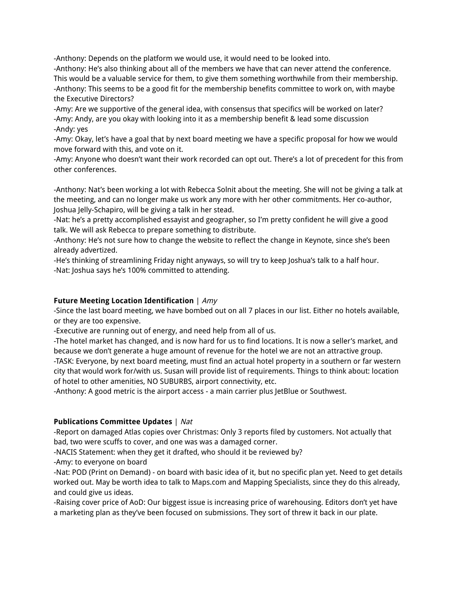-Anthony: Depends on the platform we would use, it would need to be looked into.

-Anthony: He's also thinking about all of the members we have that can never attend the conference. This would be a valuable service for them, to give them something worthwhile from their membership. -Anthony: This seems to be a good fit for the membership benefits committee to work on, with maybe the Executive Directors?

-Amy: Are we supportive of the general idea, with consensus that specifics will be worked on later? -Amy: Andy, are you okay with looking into it as a membership benefit & lead some discussion -Andy: yes

-Amy: Okay, let's have a goal that by next board meeting we have a specific proposal for how we would move forward with this, and vote on it.

-Amy: Anyone who doesn't want their work recorded can opt out. There's a lot of precedent for this from other conferences.

-Anthony: Nat's been working a lot with Rebecca Solnit about the meeting. She will not be giving a talk at the meeting, and can no longer make us work any more with her other commitments. Her co-author, Joshua Jelly-Schapiro, will be giving a talk in her stead.

-Nat: he's a pretty accomplished essayist and geographer, so I'm pretty confident he will give a good talk. We will ask Rebecca to prepare something to distribute.

-Anthony: He's not sure how to change the website to reflect the change in Keynote, since she's been already advertized.

-He's thinking of streamlining Friday night anyways, so will try to keep Joshua's talk to a half hour. -Nat: Joshua says he's 100% committed to attending.

### **Future Meeting Location Identification** | Amy

-Since the last board meeting, we have bombed out on all 7 places in our list. Either no hotels available, or they are too expensive.

-Executive are running out of energy, and need help from all of us.

-The hotel market has changed, and is now hard for us to find locations. It is now a seller's market, and because we don't generate a huge amount of revenue for the hotel we are not an attractive group. -TASK: Everyone, by next board meeting, must find an actual hotel property in a southern or far western city that would work for/with us. Susan will provide list of requirements. Things to think about: location of hotel to other amenities, NO SUBURBS, airport connectivity, etc.

-Anthony: A good metric is the airport access - a main carrier plus JetBlue or Southwest.

### **Publications Committee Updates** | Nat

-Report on damaged Atlas copies over Christmas: Only 3 reports filed by customers. Not actually that bad, two were scuffs to cover, and one was was a damaged corner.

-NACIS Statement: when they get it drafted, who should it be reviewed by?

-Amy: to everyone on board

-Nat: POD (Print on Demand) - on board with basic idea of it, but no specific plan yet. Need to get details worked out. May be worth idea to talk to Maps.com and Mapping Specialists, since they do this already, and could give us ideas.

-Raising cover price of AoD: Our biggest issue is increasing price of warehousing. Editors don't yet have a marketing plan as they've been focused on submissions. They sort of threw it back in our plate.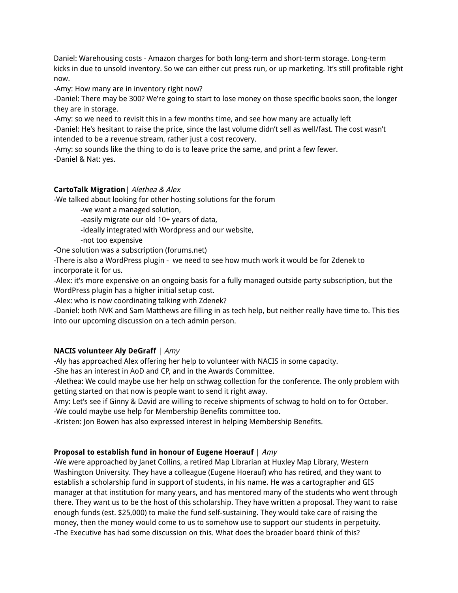Daniel: Warehousing costs - Amazon charges for both long-term and short-term storage. Long-term kicks in due to unsold inventory. So we can either cut press run, or up marketing. It's still profitable right now.

-Amy: How many are in inventory right now?

-Daniel: There may be 300? We're going to start to lose money on those specific books soon, the longer they are in storage.

-Amy: so we need to revisit this in a few months time, and see how many are actually left -Daniel: He's hesitant to raise the price, since the last volume didn't sell as well/fast. The cost wasn't intended to be a revenue stream, rather just a cost recovery.

-Amy: so sounds like the thing to do is to leave price the same, and print a few fewer. -Daniel & Nat: yes.

## **CartoTalk Migration**| Alethea & Alex

-We talked about looking for other hosting solutions for the forum

-we want a managed solution,

-easily migrate our old 10+ years of data,

-ideally integrated with Wordpress and our website,

-not too expensive

-One solution was a subscription (forums.net)

-There is also a WordPress plugin - we need to see how much work it would be for Zdenek to incorporate it for us.

-Alex: it's more expensive on an ongoing basis for a fully managed outside party subscription, but the WordPress plugin has a higher initial setup cost.

-Alex: who is now coordinating talking with Zdenek?

-Daniel: both NVK and Sam Matthews are filling in as tech help, but neither really have time to. This ties into our upcoming discussion on a tech admin person.

### **NACIS volunteer Aly DeGraff** | Amy

-Aly has approached Alex offering her help to volunteer with NACIS in some capacity.

-She has an interest in AoD and CP, and in the Awards Committee.

-Alethea: We could maybe use her help on schwag collection for the conference. The only problem with getting started on that now is people want to send it right away.

Amy: Let's see if Ginny & David are willing to receive shipments of schwag to hold on to for October. -We could maybe use help for Membership Benefits committee too.

-Kristen: Jon Bowen has also expressed interest in helping Membership Benefits.

# **Proposal to establish fund in honour of Eugene Hoerauf** | Amy

-We were approached by Janet Collins, a retired Map Librarian at Huxley Map Library, Western Washington University. They have a colleague (Eugene Hoerauf) who has retired, and they want to establish a scholarship fund in support of students, in his name. He was a cartographer and GIS manager at that institution for many years, and has mentored many of the students who went through there. They want us to be the host of this scholarship. They have written a proposal. They want to raise enough funds (est. \$25,000) to make the fund self-sustaining. They would take care of raising the money, then the money would come to us to somehow use to support our students in perpetuity. -The Executive has had some discussion on this. What does the broader board think of this?